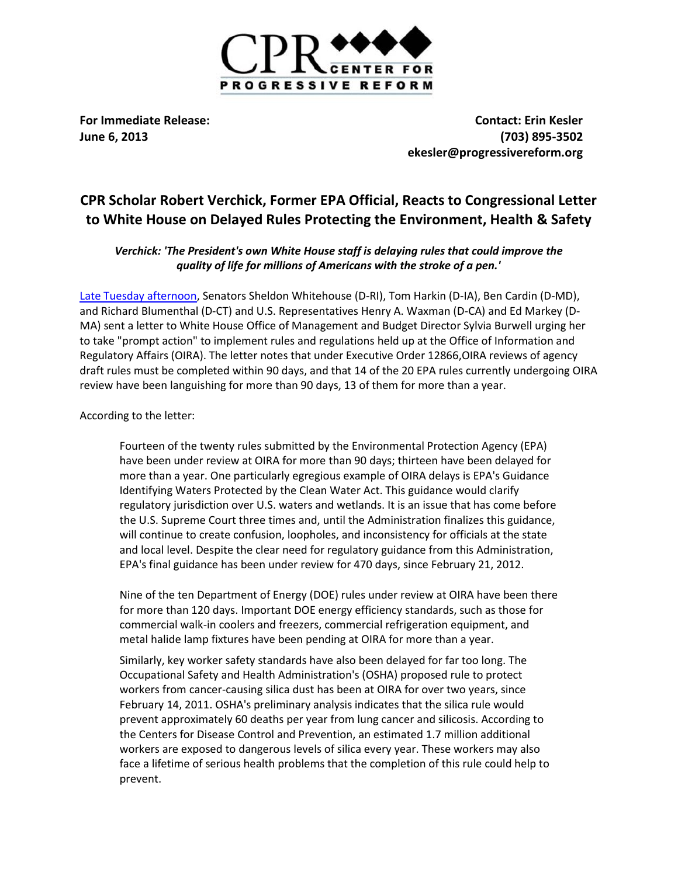

**For Immediate Release: Contact: Erin Kesler June 6, 2013 [\(703\) 895-3502](tel:%28703%29%20895-3502) [ekesler@progressivereform.org](mailto:ekesler@progressivereform.org)**

## **CPR Scholar Robert Verchick, Former EPA Official, Reacts to Congressional Letter to White House on Delayed Rules Protecting the Environment, Health & Safety**

*Verchick: 'The President's own White House staff is delaying rules that could improve the quality of life for millions of Americans with the stroke of a pen.'*

[Late Tuesday afternoon,](http://www.whitehouse.senate.gov/news/release/omb-delays-undermining-administrations-agenda-on-environment-energy-and-public-health) Senators Sheldon Whitehouse (D-RI), Tom Harkin (D-IA), Ben Cardin (D-MD), and Richard Blumenthal (D-CT) and U.S. Representatives Henry A. Waxman (D-CA) and Ed Markey (D-MA) sent a letter to White House Office of Management and Budget Director Sylvia Burwell urging her to take "prompt action" to implement rules and regulations held up at the Office of Information and Regulatory Affairs (OIRA). The letter notes that under Executive Order 12866,OIRA reviews of agency draft rules must be completed within 90 days, and that 14 of the 20 EPA rules currently undergoing OIRA review have been languishing for more than 90 days, 13 of them for more than a year.

According to the letter:

Fourteen of the twenty rules submitted by the Environmental Protection Agency (EPA) have been under review at OIRA for more than 90 days; thirteen have been delayed for more than a year. One particularly egregious example of OIRA delays is EPA's Guidance Identifying Waters Protected by the Clean Water Act. This guidance would clarify regulatory jurisdiction over U.S. waters and wetlands. It is an issue that has come before the U.S. Supreme Court three times and, until the Administration finalizes this guidance, will continue to create confusion, loopholes, and inconsistency for officials at the state and local level. Despite the clear need for regulatory guidance from this Administration, EPA's final guidance has been under review for 470 days, since February 21, 2012.

Nine of the ten Department of Energy (DOE) rules under review at OIRA have been there for more than 120 days. Important DOE energy efficiency standards, such as those for commercial walk-in coolers and freezers, commercial refrigeration equipment, and metal halide lamp fixtures have been pending at OIRA for more than a year.

Similarly, key worker safety standards have also been delayed for far too long. The Occupational Safety and Health Administration's (OSHA) proposed rule to protect workers from cancer-causing silica dust has been at OIRA for over two years, since February 14, 2011. OSHA's preliminary analysis indicates that the silica rule would prevent approximately 60 deaths per year from lung cancer and silicosis. According to the Centers for Disease Control and Prevention, an estimated 1.7 million additional workers are exposed to dangerous levels of silica every year. These workers may also face a lifetime of serious health problems that the completion of this rule could help to prevent.